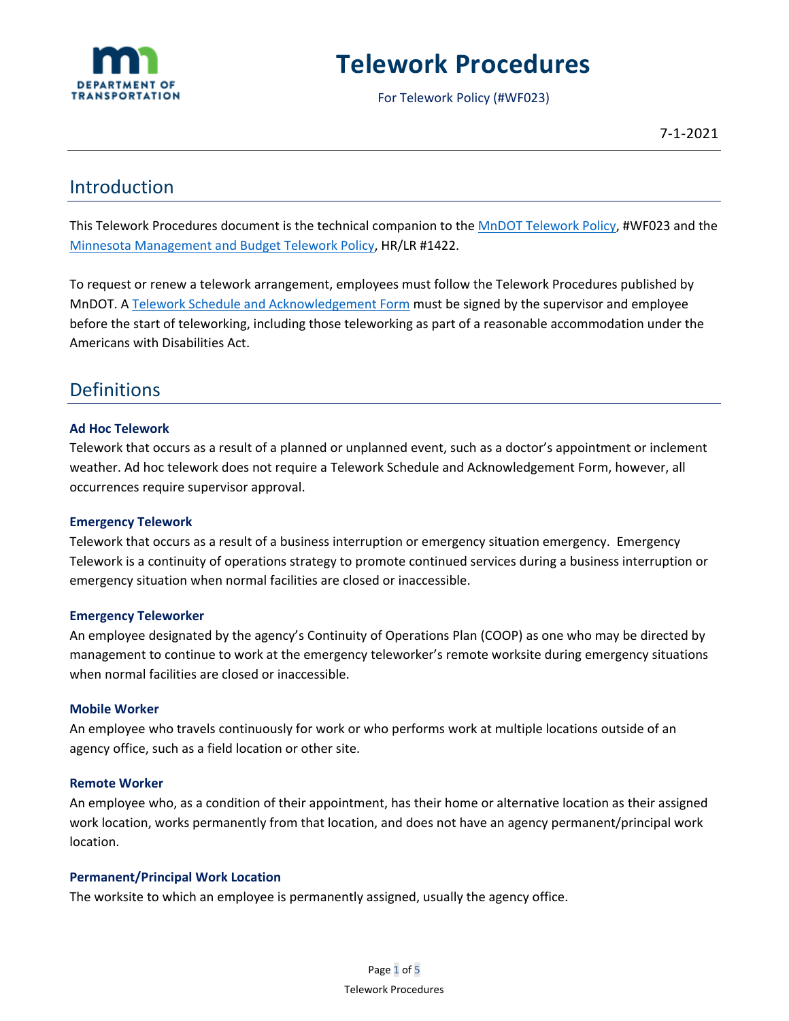

# **Telework Procedures**

For Telework Policy (#WF023)

# Introduction

This Telework Procedures document is the technical companion to the [MnDOT Telework Policy,](https://www.dot.state.mn.us/policy/hr/wf023.html) #WF023 and the [Minnesota Management and Budget Telework Policy,](https://mn.gov/mmb-stat/policies/1422-telework-effective-7-21-21.pdf) HR/LR #1422.

To request or renew a telework arrangement, employees must follow the Telework Procedures published by MnDOT. [A Telework Schedule and Acknowledgement Form](https://app.smartsheet.com/b/form/1bcb37a5b7ca45b29224bcbb7ea114dc) must be signed by the supervisor and employee before the start of teleworking, including those teleworking as part of a reasonable accommodation under the Americans with Disabilities Act.

# Definitions

# **Ad Hoc Telework**

Telework that occurs as a result of a planned or unplanned event, such as a doctor's appointment or inclement weather. Ad hoc telework does not require a Telework Schedule and Acknowledgement Form, however, all occurrences require supervisor approval.

### **Emergency Telework**

Telework that occurs as a result of a business interruption or emergency situation emergency. Emergency Telework is a continuity of operations strategy to promote continued services during a business interruption or emergency situation when normal facilities are closed or inaccessible.

### **Emergency Teleworker**

An employee designated by the agency's Continuity of Operations Plan (COOP) as one who may be directed by management to continue to work at the emergency teleworker's remote worksite during emergency situations when normal facilities are closed or inaccessible.

### **Mobile Worker**

An employee who travels continuously for work or who performs work at multiple locations outside of an agency office, such as a field location or other site.

### **Remote Worker**

An employee who, as a condition of their appointment, has their home or alternative location as their assigned work location, works permanently from that location, and does not have an agency permanent/principal work location.

### **Permanent/Principal Work Location**

The worksite to which an employee is permanently assigned, usually the agency office.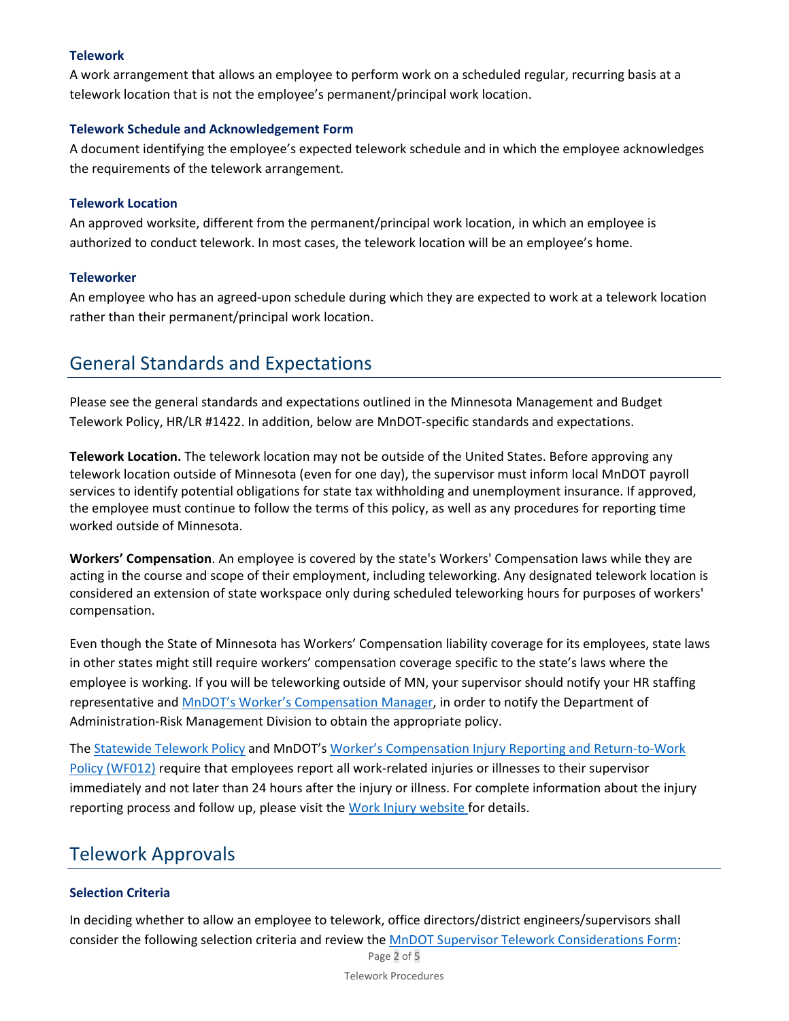# **Telework**

A work arrangement that allows an employee to perform work on a scheduled regular, recurring basis at a telework location that is not the employee's permanent/principal work location.

# **Telework Schedule and Acknowledgement Form**

A document identifying the employee's expected telework schedule and in which the employee acknowledges the requirements of the telework arrangement.

# **Telework Location**

An approved worksite, different from the permanent/principal work location, in which an employee is authorized to conduct telework. In most cases, the telework location will be an employee's home.

# **Teleworker**

An employee who has an agreed-upon schedule during which they are expected to work at a telework location rather than their permanent/principal work location.

# General Standards and Expectations

Please see the general standards and expectations outlined in the Minnesota Management and Budget Telework Policy, HR/LR #1422. In addition, below are MnDOT-specific standards and expectations.

**Telework Location.** The telework location may not be outside of the United States. Before approving any telework location outside of Minnesota (even for one day), the supervisor must inform local MnDOT payroll services to identify potential obligations for state tax withholding and unemployment insurance. If approved, the employee must continue to follow the terms of this policy, as well as any procedures for reporting time worked outside of Minnesota.

**Workers' Compensation**. An employee is covered by the state's Workers' Compensation laws while they are acting in the course and scope of their employment, including teleworking. Any designated telework location is considered an extension of state workspace only during scheduled teleworking hours for purposes of workers' compensation.

Even though the State of Minnesota has Workers' Compensation liability coverage for its employees, state laws in other states might still require workers' compensation coverage specific to the state's laws where the employee is working. If you will be teleworking outside of MN, your supervisor should notify your HR staffing representative and [MnDOT's Worker's Compensation Manager,](mailto:WorkCompReporting.dot@state.mn.us) in order to notify the Department of Administration-Risk Management Division to obtain the appropriate policy.

The [Statewide Telework Policy](https://mn.gov/mmb-stat/policies/1422-telework.pdf) and MnDOT's [Worker's Compensation Injury Reporting and Return-to-Work](http://www.dot.state.mn.us/policy/hr/wf012.html)  [Policy \(WF012\)](http://www.dot.state.mn.us/policy/hr/wf012.html) require that employees report all work-related injuries or illnesses to their supervisor immediately and not later than 24 hours after the injury or illness. For complete information about the injury reporting process and follow up, please visit th[e Work Injury website f](https://ihub/admin/work-injuries/index.html)or details.

# Telework Approvals

# **Selection Criteria**

In deciding whether to allow an employee to telework, office directors/district engineers/supervisors shall consider the following selection criteria and review the [MnDOT Supervisor Telework Considerations Form:](https://edocs/edocs_employee/DMResultSet/download?docId=13644067)

Page 2 of 5 Telework Procedures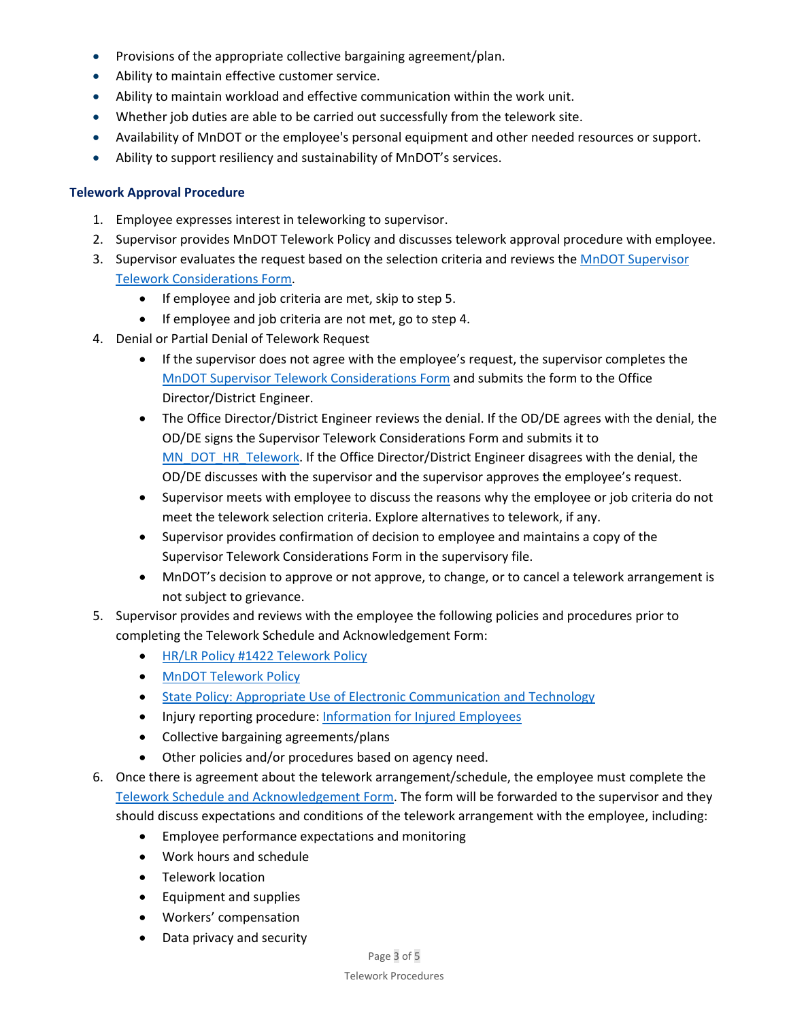- Provisions of the appropriate collective bargaining agreement/plan.
- Ability to maintain effective customer service.
- Ability to maintain workload and effective communication within the work unit.
- Whether job duties are able to be carried out successfully from the telework site.
- Availability of MnDOT or the employee's personal equipment and other needed resources or support.
- Ability to support resiliency and sustainability of MnDOT's services.

#### **Telework Approval Procedure**

- 1. Employee expresses interest in teleworking to supervisor.
- 2. Supervisor provides MnDOT Telework Policy and discusses telework approval procedure with employee.
- 3. Supervisor evaluates the request based on the selection criteria and reviews th[e MnDOT Supervisor](https://edocs/edocs_employee/DMResultSet/download?docId=13644067)  [Telework Considerations Form.](https://edocs/edocs_employee/DMResultSet/download?docId=13644067)
	- If employee and job criteria are met, skip to step 5.
	- If employee and job criteria are not met, go to step 4.
- 4. Denial or Partial Denial of Telework Request
	- If the supervisor does not agree with the employee's request, the supervisor completes the [MnDOT Supervisor Telework Considerations Form](https://edocs/edocs_employee/DMResultSet/download?docId=13644067) and submits the form to the Office Director/District Engineer.
	- The Office Director/District Engineer reviews the denial. If the OD/DE agrees with the denial, the OD/DE signs the Supervisor Telework Considerations Form and submits it to [MN\\_DOT\\_HR\\_Telework.](mailto:COLaborRelationsTeam.DOT@state.mn.us) If the Office Director/District Engineer disagrees with the denial, the OD/DE discusses with the supervisor and the supervisor approves the employee's request.
	- Supervisor meets with employee to discuss the reasons why the employee or job criteria do not meet the telework selection criteria. Explore alternatives to telework, if any.
	- Supervisor provides confirmation of decision to employee and maintains a copy of the Supervisor Telework Considerations Form in the supervisory file.
	- MnDOT's decision to approve or not approve, to change, or to cancel a telework arrangement is not subject to grievance.
- 5. Supervisor provides and reviews with the employee the following policies and procedures prior to completing the Telework Schedule and Acknowledgement Form:
	- [HR/LR Policy #1422 Telework Policy](https://mn.gov/mmb/assets/1422-tele-work_tcm1059-233715.pdf)
	- [MnDOT Telework Policy](https://www.dot.state.mn.us/policy/hr/wf023.html)
	- [State Policy: Appropriate Use of Electronic Communication and Technology](https://mn.gov/mmb/assets/1423-appropuseoftechpdf_tcm1059-322068.pdf)
	- Injury reporting procedure: [Information for Injured Employees](https://mn.gov/admin/government/risk/workers-comp/employee-medical-care/)
	- Collective bargaining agreements/plans
	- Other policies and/or procedures based on agency need.
- 6. Once there is agreement about the telework arrangement/schedule, the employee must complete the [Telework Schedule and Acknowledgement Form.](https://app.smartsheet.com/b/form/1bcb37a5b7ca45b29224bcbb7ea114dc) The form will be forwarded to the supervisor and they should discuss expectations and conditions of the telework arrangement with the employee, including:
	- Employee performance expectations and monitoring
	- Work hours and schedule
	- Telework location
	- Equipment and supplies
	- Workers' compensation
	- Data privacy and security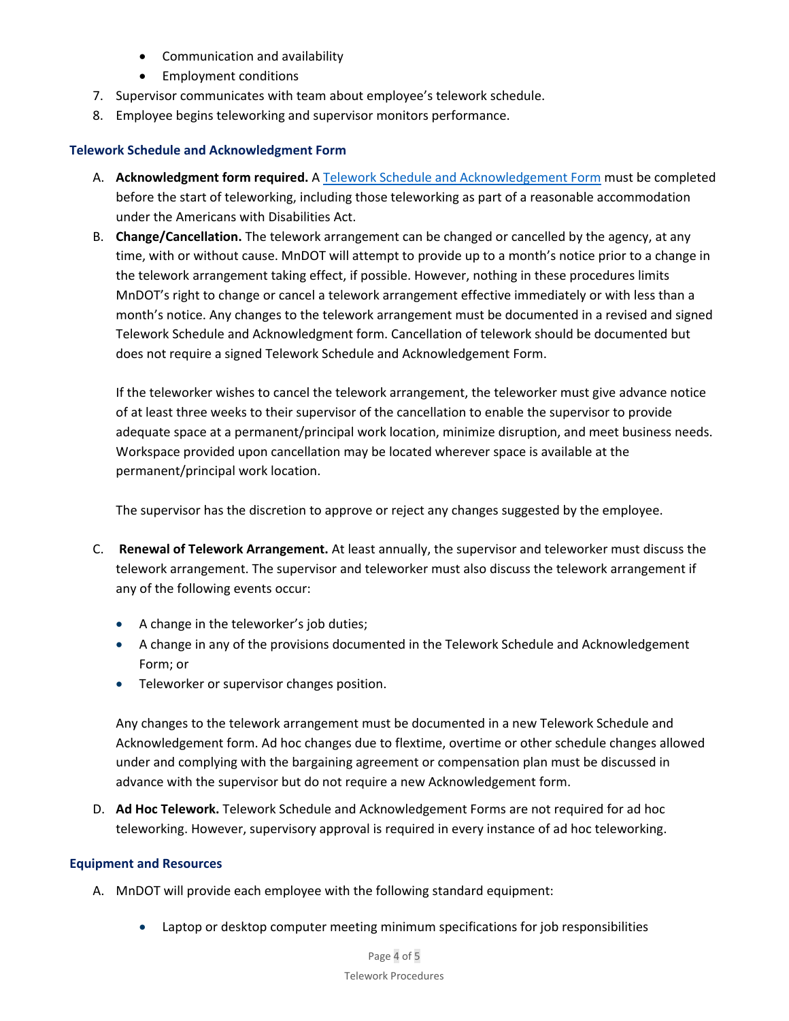- Communication and availability
- Employment conditions
- 7. Supervisor communicates with team about employee's telework schedule.
- 8. Employee begins teleworking and supervisor monitors performance.

### **Telework Schedule and Acknowledgment Form**

- A. **Acknowledgment form required.** A [Telework Schedule and Acknowledgement Form](https://app.smartsheet.com/b/form/1bcb37a5b7ca45b29224bcbb7ea114dc) must be completed before the start of teleworking, including those teleworking as part of a reasonable accommodation under the Americans with Disabilities Act.
- B. **Change/Cancellation.** The telework arrangement can be changed or cancelled by the agency, at any time, with or without cause. MnDOT will attempt to provide up to a month's notice prior to a change in the telework arrangement taking effect, if possible. However, nothing in these procedures limits MnDOT's right to change or cancel a telework arrangement effective immediately or with less than a month's notice. Any changes to the telework arrangement must be documented in a revised and signed Telework Schedule and Acknowledgment form. Cancellation of telework should be documented but does not require a signed Telework Schedule and Acknowledgement Form.

If the teleworker wishes to cancel the telework arrangement, the teleworker must give advance notice of at least three weeks to their supervisor of the cancellation to enable the supervisor to provide adequate space at a permanent/principal work location, minimize disruption, and meet business needs. Workspace provided upon cancellation may be located wherever space is available at the permanent/principal work location.

The supervisor has the discretion to approve or reject any changes suggested by the employee.

- C. **Renewal of Telework Arrangement.** At least annually, the supervisor and teleworker must discuss the telework arrangement. The supervisor and teleworker must also discuss the telework arrangement if any of the following events occur:
	- A change in the teleworker's job duties;
	- A change in any of the provisions documented in the Telework Schedule and Acknowledgement Form; or
	- Teleworker or supervisor changes position.

Any changes to the telework arrangement must be documented in a new Telework Schedule and Acknowledgement form. Ad hoc changes due to flextime, overtime or other schedule changes allowed under and complying with the bargaining agreement or compensation plan must be discussed in advance with the supervisor but do not require a new Acknowledgement form.

D. **Ad Hoc Telework.** Telework Schedule and Acknowledgement Forms are not required for ad hoc teleworking. However, supervisory approval is required in every instance of ad hoc teleworking.

### **Equipment and Resources**

- A. MnDOT will provide each employee with the following standard equipment:
	- Laptop or desktop computer meeting minimum specifications for job responsibilities